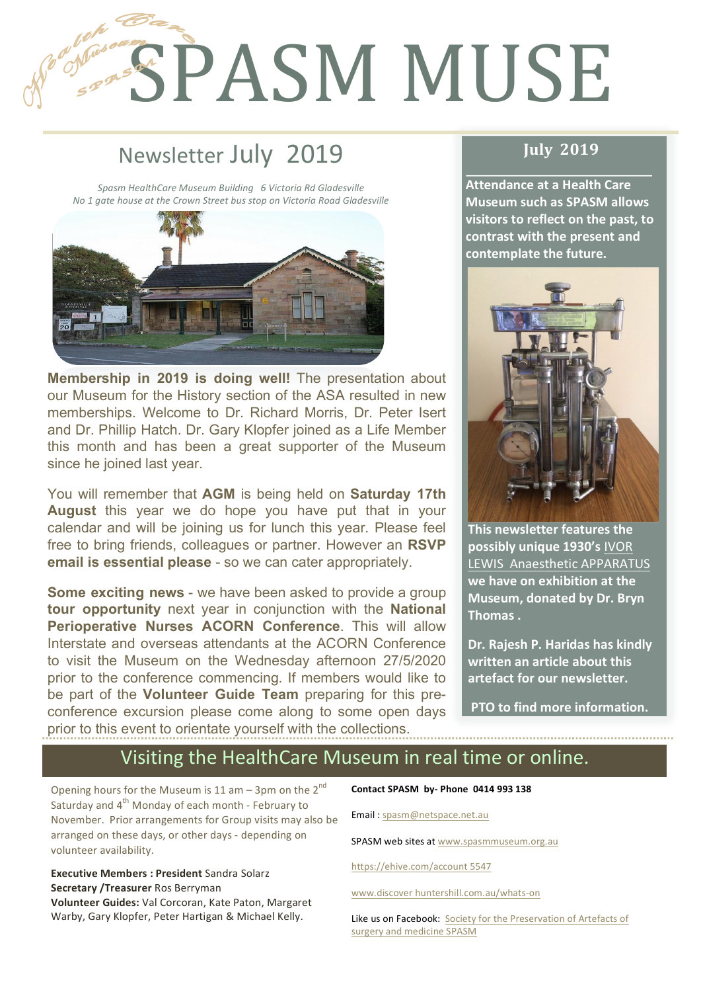# **POPERPASM MUSE**

# Newsletter July 2019

1

2

*Spasm HealthCare Museum Building 6 Victoria Rd Gladesville No* 1 gate house at the Crown Street bus stop on Victoria Road Gladesville



**Membership in 2019 is doing well!** The presentation about our Museum for the History section of the ASA resulted in new memberships. Welcome to Dr. Richard Morris, Dr. Peter Isert and Dr. Phillip Hatch. Dr. Gary Klopfer joined as a Life Member this month and has been a great supporter of the Museum since he joined last year.

You will remember that **AGM** is being held on **Saturday 17th August** this year we do hope you have put that in your calendar and will be joining us for lunch this year. Please feel free to bring friends, colleagues or partner. However an **RSVP email is essential please** - so we can cater appropriately.

**Some exciting news** - we have been asked to provide a group **tour opportunity** next year in conjunction with the **National Perioperative Nurses ACORN Conference**. This will allow Interstate and overseas attendants at the ACORN Conference to visit the Museum on the Wednesday afternoon 27/5/2020 prior to the conference commencing. If members would like to be part of the **Volunteer Guide Team** preparing for this preconference excursion please come along to some open days prior to this event to orientate yourself with the collections.

#### **July 2019**

**Attendance at a Health Care Museum such as SPASM allows** visitors to reflect on the past, to contrast with the present and **contemplate the future.** 



**This newsletter features the possibly unique 1930's IVOR LEWIS Anaesthetic APPARATUS we have on exhibition at the Museum, donated by Dr. Bryn Thomas .**

Dr. Rajesh P. Haridas has kindly **written an article about this** artefact for our newsletter.

**PTO** to find more information.

### Visiting the HealthCare Museum in real time or online.

Opening hours for the Museum is 11 am – 3pm on the  $2^{nd}$ Saturday and  $4<sup>th</sup>$  Monday of each month - February to November. Prior arrangements for Group visits may also be arranged on these days, or other days - depending on volunteer availability.

**Executive Members : President Sandra Solarz Secretary /Treasurer** Ros Berryman

**Volunteer Guides:** Val Corcoran, Kate Paton, Margaret Warby, Gary Klopfer, Peter Hartigan & Michael Kelly.

**Contact SPASM by- Phone 0414 993 138** 

Email: spasm@netspace.net.au

SPASM web sites at www.spasmmuseum.org.au

https://ehive.com/account 5547

www.discover huntershill.com.au/whats-on

Like us on Facebook: Society for the Preservation of Artefacts of surgery and medicine SPASM